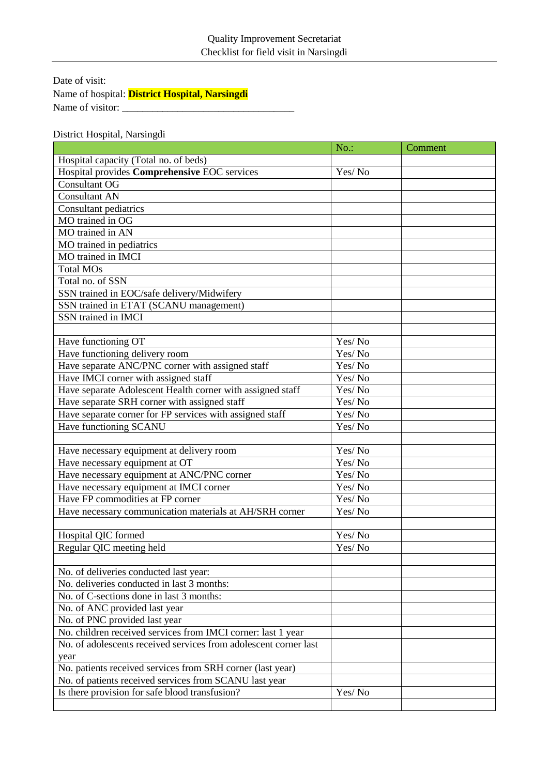Date of visit: Name of hospital: **District Hospital, Narsingdi** Name of visitor:

District Hospital, Narsingdi

|                                                                  | $No.$ : | Comment |
|------------------------------------------------------------------|---------|---------|
| Hospital capacity (Total no. of beds)                            |         |         |
| Hospital provides Comprehensive EOC services                     | Yes/No  |         |
| <b>Consultant OG</b>                                             |         |         |
| <b>Consultant AN</b>                                             |         |         |
| Consultant pediatrics                                            |         |         |
| MO trained in OG                                                 |         |         |
| MO trained in AN                                                 |         |         |
| MO trained in pediatrics                                         |         |         |
| MO trained in IMCI                                               |         |         |
| <b>Total MOs</b>                                                 |         |         |
| Total no. of SSN                                                 |         |         |
| SSN trained in EOC/safe delivery/Midwifery                       |         |         |
| SSN trained in ETAT (SCANU management)                           |         |         |
| SSN trained in IMCI                                              |         |         |
|                                                                  |         |         |
| Have functioning OT                                              | Yes/No  |         |
| Have functioning delivery room                                   | Yes/No  |         |
| Have separate ANC/PNC corner with assigned staff                 | Yes/No  |         |
| Have IMCI corner with assigned staff                             | Yes/No  |         |
| Have separate Adolescent Health corner with assigned staff       | Yes/No  |         |
| Have separate SRH corner with assigned staff                     | Yes/No  |         |
| Have separate corner for FP services with assigned staff         | Yes/No  |         |
| Have functioning SCANU                                           | Yes/No  |         |
|                                                                  |         |         |
| Have necessary equipment at delivery room                        | Yes/No  |         |
| Have necessary equipment at OT                                   | Yes/No  |         |
| Have necessary equipment at ANC/PNC corner                       | Yes/No  |         |
| Have necessary equipment at IMCI corner                          | Yes/No  |         |
| Have FP commodities at FP corner                                 | Yes/No  |         |
| Have necessary communication materials at AH/SRH corner          | Yes/No  |         |
|                                                                  |         |         |
| Hospital QIC formed                                              | Yes/No  |         |
| Regular QIC meeting held                                         | Yes/No  |         |
|                                                                  |         |         |
| No. of deliveries conducted last year:                           |         |         |
| No. deliveries conducted in last 3 months:                       |         |         |
| No. of C-sections done in last 3 months:                         |         |         |
| No. of ANC provided last year                                    |         |         |
| No. of PNC provided last year                                    |         |         |
| No. children received services from IMCI corner: last 1 year     |         |         |
| No. of adolescents received services from adolescent corner last |         |         |
| year                                                             |         |         |
| No. patients received services from SRH corner (last year)       |         |         |
| No. of patients received services from SCANU last year           |         |         |
| Is there provision for safe blood transfusion?                   | Yes/No  |         |
|                                                                  |         |         |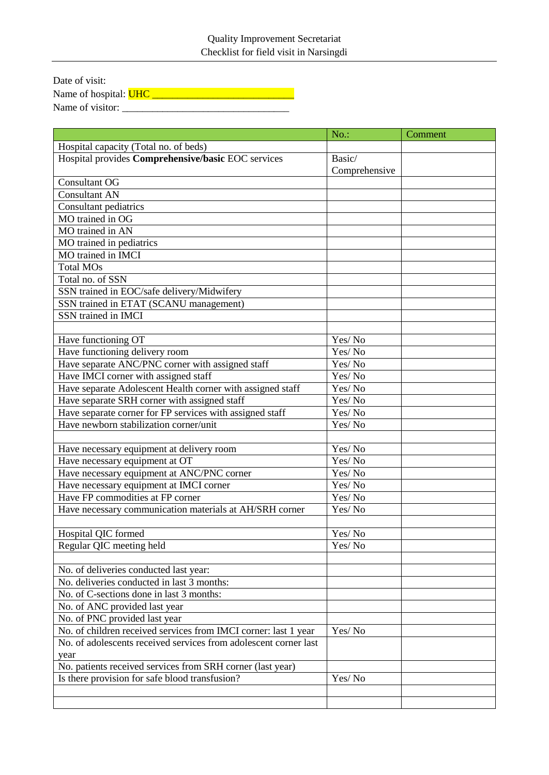| Date of visit:               |  |
|------------------------------|--|
| Name of hospital: <b>UHC</b> |  |
| Name of visitor:             |  |

|                                                                  | $No.$ :       | Comment |
|------------------------------------------------------------------|---------------|---------|
| Hospital capacity (Total no. of beds)                            |               |         |
| Hospital provides Comprehensive/basic EOC services               | Basic/        |         |
|                                                                  | Comprehensive |         |
| <b>Consultant OG</b>                                             |               |         |
| <b>Consultant AN</b>                                             |               |         |
| Consultant pediatrics                                            |               |         |
| MO trained in OG                                                 |               |         |
| MO trained in AN                                                 |               |         |
| MO trained in pediatrics                                         |               |         |
| MO trained in IMCI                                               |               |         |
| <b>Total MOs</b>                                                 |               |         |
| Total no. of SSN                                                 |               |         |
| SSN trained in EOC/safe delivery/Midwifery                       |               |         |
| SSN trained in ETAT (SCANU management)                           |               |         |
| SSN trained in IMCI                                              |               |         |
|                                                                  |               |         |
| Have functioning OT                                              | Yes/No        |         |
| Have functioning delivery room                                   | Yes/No        |         |
| Have separate ANC/PNC corner with assigned staff                 | Yes/No        |         |
| Have IMCI corner with assigned staff                             | Yes/No        |         |
| Have separate Adolescent Health corner with assigned staff       | Yes/No        |         |
| Have separate SRH corner with assigned staff                     | Yes/No        |         |
| Have separate corner for FP services with assigned staff         | Yes/No        |         |
| Have newborn stabilization corner/unit                           | Yes/No        |         |
|                                                                  |               |         |
| Have necessary equipment at delivery room                        | Yes/No        |         |
| Have necessary equipment at OT                                   | Yes/No        |         |
| Have necessary equipment at ANC/PNC corner                       | Yes/No        |         |
| Have necessary equipment at IMCI corner                          | Yes/No        |         |
| Have FP commodities at FP corner                                 | Yes/No        |         |
| Have necessary communication materials at AH/SRH corner          | Yes/No        |         |
|                                                                  |               |         |
| Hospital QIC formed                                              | Yes/No        |         |
| Regular QIC meeting held                                         | Yes/No        |         |
|                                                                  |               |         |
| No. of deliveries conducted last year:                           |               |         |
| No. deliveries conducted in last 3 months:                       |               |         |
| No. of C-sections done in last 3 months:                         |               |         |
| No. of ANC provided last year                                    |               |         |
| No. of PNC provided last year                                    |               |         |
| No. of children received services from IMCI corner: last 1 year  | Yes/No        |         |
| No. of adolescents received services from adolescent corner last |               |         |
| year                                                             |               |         |
| No. patients received services from SRH corner (last year)       |               |         |
| Is there provision for safe blood transfusion?                   | Yes/No        |         |
|                                                                  |               |         |
|                                                                  |               |         |
|                                                                  |               |         |